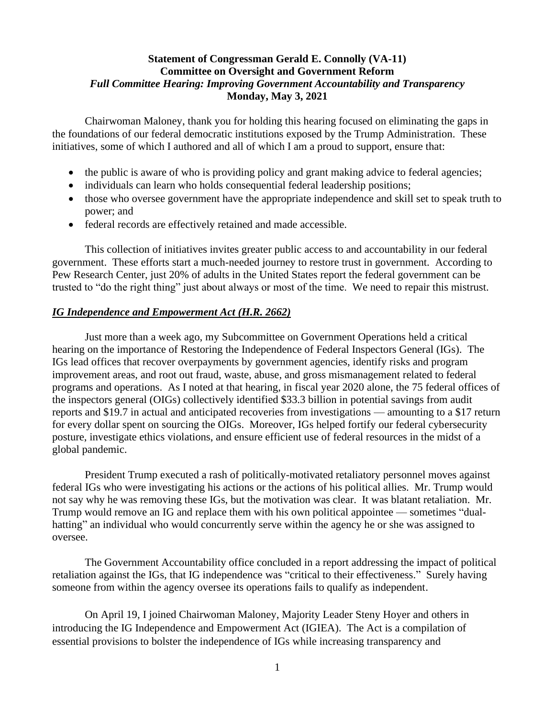## **Statement of Congressman Gerald E. Connolly (VA-11) Committee on Oversight and Government Reform** *Full Committee Hearing: Improving Government Accountability and Transparency* **Monday, May 3, 2021**

Chairwoman Maloney, thank you for holding this hearing focused on eliminating the gaps in the foundations of our federal democratic institutions exposed by the Trump Administration. These initiatives, some of which I authored and all of which I am a proud to support, ensure that:

- the public is aware of who is providing policy and grant making advice to federal agencies;
- individuals can learn who holds consequential federal leadership positions;
- those who oversee government have the appropriate independence and skill set to speak truth to power; and
- federal records are effectively retained and made accessible.

This collection of initiatives invites greater public access to and accountability in our federal government. These efforts start a much-needed journey to restore trust in government. According to Pew Research Center, just 20% of adults in the United States report the federal government can be trusted to "do the right thing" just about always or most of the time. We need to repair this mistrust.

#### *IG Independence and Empowerment Act (H.R. 2662)*

Just more than a week ago, my Subcommittee on Government Operations held a critical hearing on the importance of Restoring the Independence of Federal Inspectors General (IGs). The IGs lead offices that recover overpayments by government agencies, identify risks and program improvement areas, and root out fraud, waste, abuse, and gross mismanagement related to federal programs and operations. As I noted at that hearing, in fiscal year 2020 alone, the 75 federal offices of the inspectors general (OIGs) collectively identified \$33.3 billion in potential savings from audit reports and \$19.7 in actual and anticipated recoveries from investigations — amounting to a \$17 return for every dollar spent on sourcing the OIGs. Moreover, IGs helped fortify our federal cybersecurity posture, investigate ethics violations, and ensure efficient use of federal resources in the midst of a global pandemic.

President Trump executed a rash of politically-motivated retaliatory personnel moves against federal IGs who were investigating his actions or the actions of his political allies. Mr. Trump would not say why he was removing these IGs, but the motivation was clear. It was blatant retaliation. Mr. Trump would remove an IG and replace them with his own political appointee — sometimes "dualhatting" an individual who would concurrently serve within the agency he or she was assigned to oversee.

The Government Accountability office concluded in a report addressing the impact of political retaliation against the IGs, that IG independence was "critical to their effectiveness." Surely having someone from within the agency oversee its operations fails to qualify as independent.

On April 19, I joined Chairwoman Maloney, Majority Leader Steny Hoyer and others in introducing the IG Independence and Empowerment Act (IGIEA). The Act is a compilation of essential provisions to bolster the independence of IGs while increasing transparency and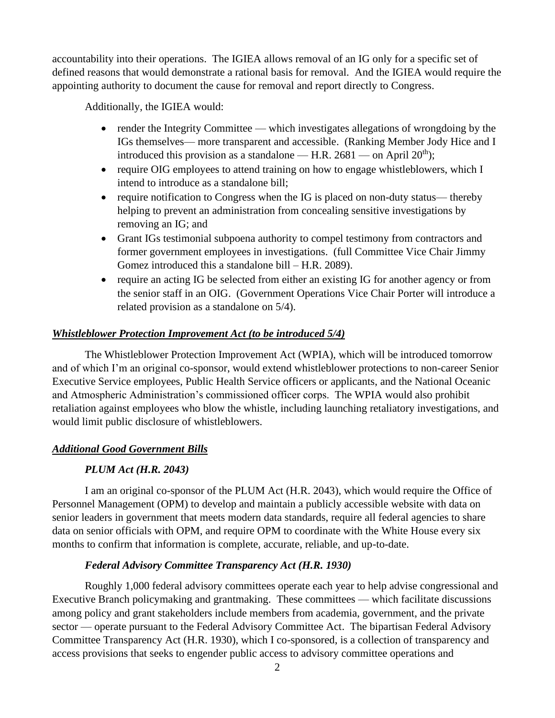accountability into their operations. The IGIEA allows removal of an IG only for a specific set of defined reasons that would demonstrate a rational basis for removal. And the IGIEA would require the appointing authority to document the cause for removal and report directly to Congress.

Additionally, the IGIEA would:

- render the Integrity Committee which investigates allegations of wrongdoing by the IGs themselves— more transparent and accessible. (Ranking Member Jody Hice and I introduced this provision as a standalone — H.R.  $2681$  — on April  $20<sup>th</sup>$ );
- require OIG employees to attend training on how to engage whistleblowers, which I intend to introduce as a standalone bill;
- require notification to Congress when the IG is placed on non-duty status— thereby helping to prevent an administration from concealing sensitive investigations by removing an IG; and
- Grant IGs testimonial subpoena authority to compel testimony from contractors and former government employees in investigations. (full Committee Vice Chair Jimmy Gomez introduced this a standalone bill – H.R. 2089).
- require an acting IG be selected from either an existing IG for another agency or from the senior staff in an OIG. (Government Operations Vice Chair Porter will introduce a related provision as a standalone on 5/4).

## *Whistleblower Protection Improvement Act (to be introduced 5/4)*

The Whistleblower Protection Improvement Act (WPIA), which will be introduced tomorrow and of which I'm an original co-sponsor, would extend whistleblower protections to non-career Senior Executive Service employees, Public Health Service officers or applicants, and the National Oceanic and Atmospheric Administration's commissioned officer corps. The WPIA would also prohibit retaliation against employees who blow the whistle, including launching retaliatory investigations, and would limit public disclosure of whistleblowers.

### *Additional Good Government Bills*

# *PLUM Act (H.R. 2043)*

I am an original co-sponsor of the PLUM Act (H.R. 2043), which would require the Office of Personnel Management (OPM) to develop and maintain a publicly accessible website with data on senior leaders in government that meets modern data standards, require all federal agencies to share data on senior officials with OPM, and require OPM to coordinate with the White House every six months to confirm that information is complete, accurate, reliable, and up-to-date.

### *Federal Advisory Committee Transparency Act (H.R. 1930)*

Roughly 1,000 federal advisory committees operate each year to help advise congressional and Executive Branch policymaking and grantmaking. These committees — which facilitate discussions among policy and grant stakeholders include members from academia, government, and the private sector — operate pursuant to the Federal Advisory Committee Act. The bipartisan Federal Advisory Committee Transparency Act (H.R. 1930), which I co-sponsored, is a collection of transparency and access provisions that seeks to engender public access to advisory committee operations and